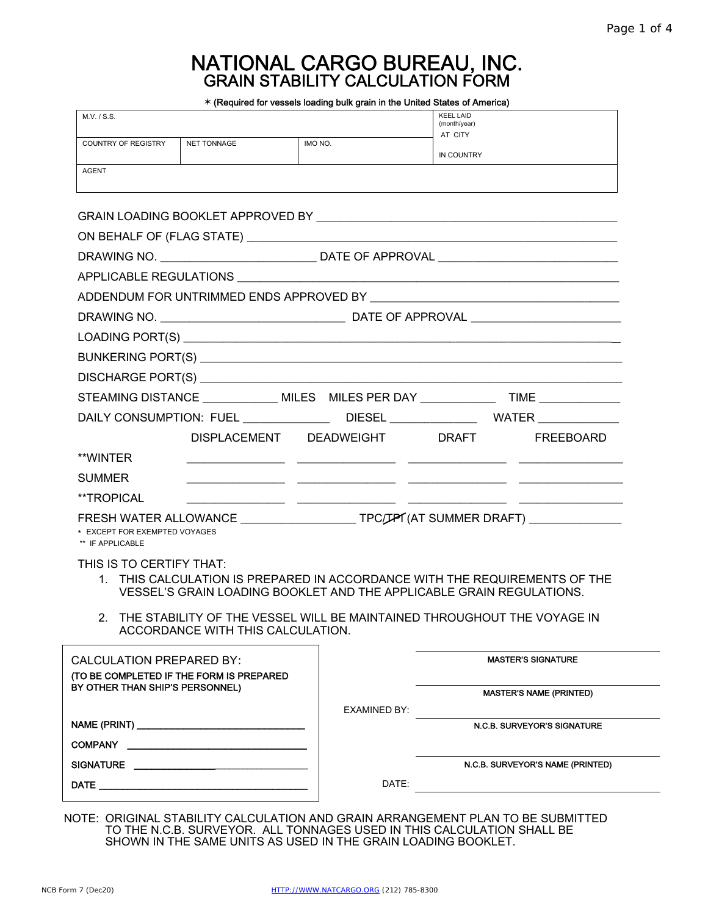# NATIONAL CARGO BUREAU, INC. GRAIN STABILITY CALCULATION FORM

| M.V. / S.S.                                       |                                          |                               | <b>KEEL LAID</b><br>(month/year)                                                                                                                   |
|---------------------------------------------------|------------------------------------------|-------------------------------|----------------------------------------------------------------------------------------------------------------------------------------------------|
| <b>COUNTRY OF REGISTRY</b>                        | <b>NET TONNAGE</b>                       | IMO NO.                       | AT CITY                                                                                                                                            |
| <b>AGENT</b>                                      |                                          |                               | IN COUNTRY                                                                                                                                         |
|                                                   |                                          |                               |                                                                                                                                                    |
|                                                   |                                          |                               |                                                                                                                                                    |
|                                                   |                                          |                               |                                                                                                                                                    |
|                                                   |                                          |                               |                                                                                                                                                    |
|                                                   |                                          |                               |                                                                                                                                                    |
|                                                   |                                          |                               |                                                                                                                                                    |
|                                                   |                                          |                               |                                                                                                                                                    |
|                                                   |                                          |                               |                                                                                                                                                    |
|                                                   |                                          |                               |                                                                                                                                                    |
|                                                   |                                          |                               |                                                                                                                                                    |
|                                                   |                                          |                               | STEAMING DISTANCE ______________ MILES MILES PER DAY _______________ TIME ____________                                                             |
|                                                   |                                          |                               | DAILY CONSUMPTION: FUEL _______________DIESEL _______________WATER _____________                                                                   |
|                                                   |                                          | DISPLACEMENT DEADWEIGHT DRAFT | FREEBOARD                                                                                                                                          |
| **WINTER                                          |                                          |                               |                                                                                                                                                    |
| <b>SUMMER</b>                                     |                                          |                               | <u> 1999 - Jan James James, president politik (f. 1989)</u>                                                                                        |
| **TROPICAL                                        |                                          |                               |                                                                                                                                                    |
| * EXCEPT FOR EXEMPTED VOYAGES<br>** IF APPLICABLE |                                          |                               | FRESH WATER ALLOWANCE ____________________TPC/JPI (AT SUMMER DRAFT) ____________                                                                   |
| THIS IS TO CERTIFY THAT:                          |                                          |                               | 1. THIS CALCULATION IS PREPARED IN ACCORDANCE WITH THE REQUIREMENTS OF THE<br>VESSEL'S GRAIN LOADING BOOKLET AND THE APPLICABLE GRAIN REGULATIONS. |
|                                                   | ACCORDANCE WITH THIS CALCULATION.        |                               | 2. THE STABILITY OF THE VESSEL WILL BE MAINTAINED THROUGHOUT THE VOYAGE IN                                                                         |
| <b>CALCULATION PREPARED BY:</b>                   |                                          |                               | <b>MASTER'S SIGNATURE</b>                                                                                                                          |
| BY OTHER THAN SHIP'S PERSONNEL)                   | (TO BE COMPLETED IF THE FORM IS PREPARED |                               |                                                                                                                                                    |
|                                                   |                                          | <b>EXAMINED BY:</b>           | <b>MASTER'S NAME (PRINTED)</b>                                                                                                                     |
|                                                   |                                          |                               | N.C.B. SURVEYOR'S SIGNATURE                                                                                                                        |
|                                                   | COMPANY <u>____________________</u>      |                               |                                                                                                                                                    |
|                                                   |                                          |                               | N.C.B. SURVEYOR'S NAME (PRINTED)                                                                                                                   |
|                                                   |                                          |                               |                                                                                                                                                    |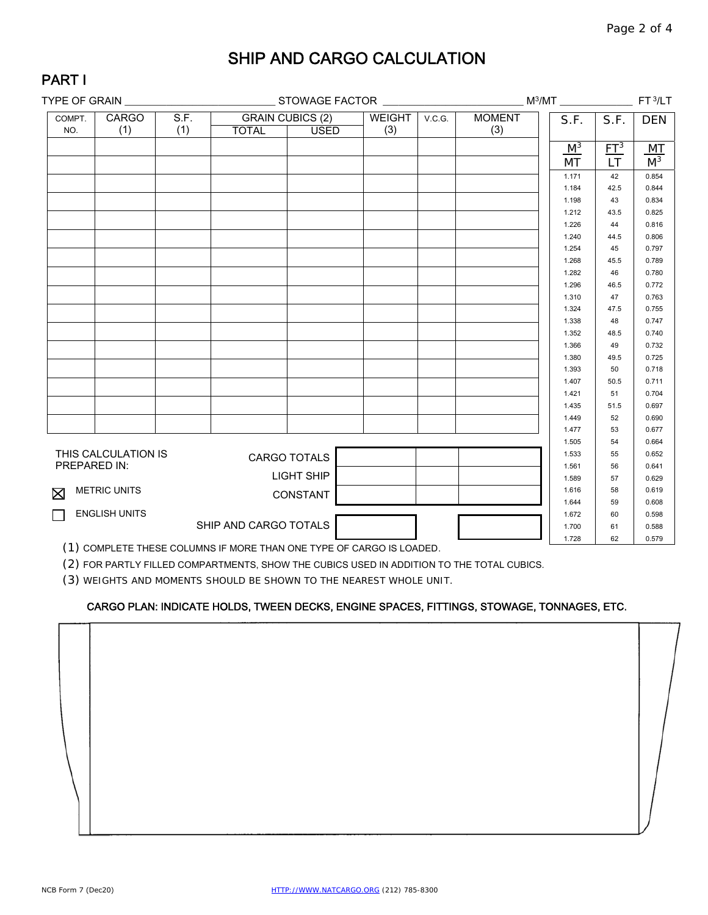## SHIP AND CARGO CALCULATION

| - 1 | Δ |    |   |  |
|-----|---|----|---|--|
|     |   | νш | ¢ |  |
|     |   |    |   |  |

| TYPE OF GRAIN _______________ |                      |      |                       |                         |               |        |               |                | FT <sub>3/LT</sub> |                  |
|-------------------------------|----------------------|------|-----------------------|-------------------------|---------------|--------|---------------|----------------|--------------------|------------------|
| COMPT.                        | <b>CARGO</b>         | S.F. |                       | <b>GRAIN CUBICS (2)</b> | <b>WEIGHT</b> | V.C.G. | <b>MOMENT</b> | S.F.           | S.F.               | <b>DEN</b>       |
| NO.                           | (1)                  | (1)  | <b>TOTAL</b>          | <b>USED</b>             | (3)           |        | (3)           |                |                    |                  |
|                               |                      |      |                       |                         |               |        |               | $M^3$          | $E1^3$             |                  |
|                               |                      |      |                       |                         |               |        |               | MT             | <b>LT</b>          | $\frac{MT}{M^3}$ |
|                               |                      |      |                       |                         |               |        |               | 1.171          | 42                 | 0.854            |
|                               |                      |      |                       |                         |               |        |               | 1.184          | 42.5               | 0.844            |
|                               |                      |      |                       |                         |               |        |               | 1.198          | 43                 | 0.834            |
|                               |                      |      |                       |                         |               |        |               | 1.212          | 43.5               | 0.825            |
|                               |                      |      |                       |                         |               |        |               | 1.226          | 44                 | 0.816            |
|                               |                      |      |                       |                         |               |        |               | 1.240          | 44.5               | 0.806            |
|                               |                      |      |                       |                         |               |        |               | 1.254          | 45                 | 0.797            |
|                               |                      |      |                       |                         |               |        |               | 1.268          | 45.5               | 0.789            |
|                               |                      |      |                       |                         |               |        |               | 1.282          | 46                 | 0.780            |
|                               |                      |      |                       |                         |               |        |               | 1.296          | 46.5               | 0.772            |
|                               |                      |      |                       |                         |               |        |               | 1.310          | 47                 | 0.763            |
|                               |                      |      |                       |                         |               |        |               | 1.324          | 47.5               | 0.755            |
|                               |                      |      |                       |                         |               |        |               | 1.338          | 48                 | 0.747            |
|                               |                      |      |                       |                         |               |        |               | 1.352          | 48.5               | 0.740            |
|                               |                      |      |                       |                         |               |        |               | 1.366          | 49                 | 0.732            |
|                               |                      |      |                       |                         |               |        |               | 1.380          | 49.5               | 0.725            |
|                               |                      |      |                       |                         |               |        |               | 1.393          | 50                 | 0.718            |
|                               |                      |      |                       |                         |               |        |               | 1.407          | 50.5               | 0.711            |
|                               |                      |      |                       |                         |               |        |               | 1.421          | 51                 | 0.704            |
|                               |                      |      |                       |                         |               |        |               | 1.435          | 51.5               | 0.697            |
|                               |                      |      |                       |                         |               |        |               | 1.449          | 52                 | 0.690            |
|                               |                      |      |                       |                         |               |        |               | 1.477          | 53                 | 0.677            |
|                               |                      |      |                       |                         |               |        |               | 1.505          | 54                 | 0.664            |
| PREPARED IN:                  | THIS CALCULATION IS  |      |                       | CARGO TOTALS            |               |        |               | 1.533          | 55                 | 0.652            |
|                               |                      |      |                       | LIGHT SHIP              |               |        |               | 1.561          | 56                 | 0.641            |
|                               |                      |      |                       |                         |               |        |               | 1.589<br>1.616 | 57<br>58           | 0.629<br>0.619   |
| 区                             | <b>METRIC UNITS</b>  |      |                       | CONSTANT                |               |        |               | 1.644          | 59                 | 0.608            |
|                               | <b>ENGLISH UNITS</b> |      |                       |                         |               |        |               | 1.672          | 60                 | 0.598            |
|                               |                      |      | SHIP AND CARGO TOTALS |                         |               |        |               | 1.700          | 61                 | 0.588            |
|                               |                      |      |                       |                         |               |        |               | 1.728          | 62                 | 0.579            |

(1) COMPLETE THESE COLUMNS IF MORE THAN ONE TYPE OF CARGO IS LOADED.

(2) FOR PARTLY FILLED COMPARTMENTS, SHOW THE CUBICS USED IN ADDITION TO THE TOTAL CUBICS.

(3) WEIGHTS AND MOMENTS SHOULD BE SHOWN TO THE NEAREST WHOLE UNIT.

### CARGO PLAN: INDICATE HOLDS, TWEEN DECKS, ENGINE SPACES, FITTINGS, STOWAGE, TONNAGES, ETC.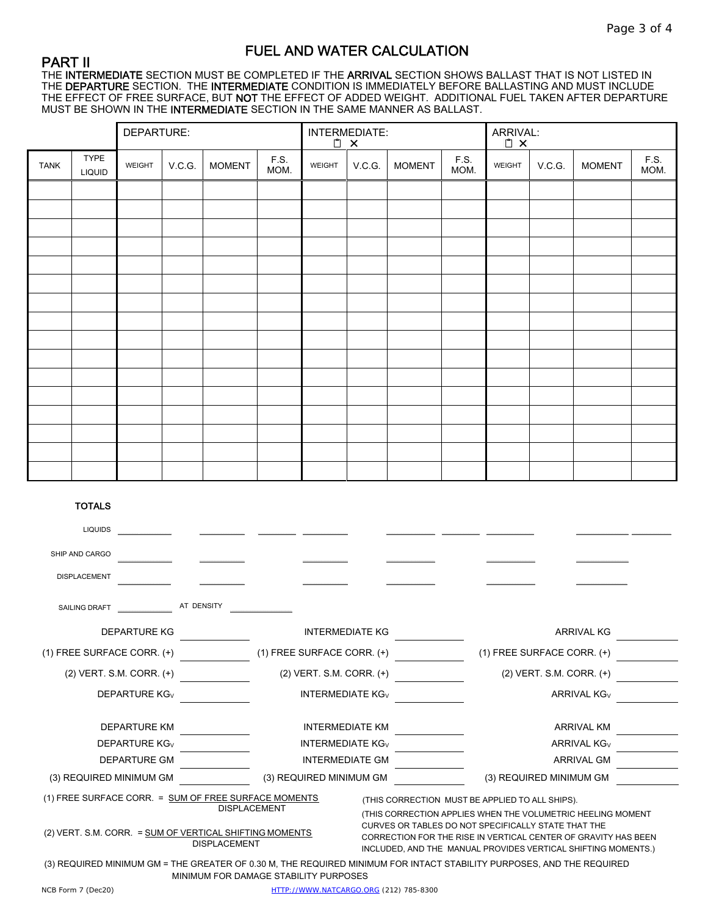### FUEL AND WATER CALCULATION

### PART II

THE **INTERMEDIATE** SECTION MUST BE COMPLETED IF THE **ARRIVAL** SECTION SHOWS BALLAST THAT IS NOT LISTED IN THE **DEPARTURE** SECTION. THE **INTERMEDIATE** CONDITION IS IMMEDIATELY BEFORE BALLASTING AND MUST INCLUDE THE EFFECT OF FREE SURFACE, BUT NOT THE EFFECT OF ADDED WEIGHT. ADDITIONAL FUEL TAKEN AFTER DEPARTURE MUST BE SHOWN IN THE INTERMEDIATE SECTION IN THE SAME MANNER AS BALLAST.

|             |                       | DEPARTURE: |        |               |              | INTERMEDIATE:<br>$\Box$ $\times$ |        | ARRIVAL:<br><u>[</u> ] <b>X</b> |              |        |        |               |              |
|-------------|-----------------------|------------|--------|---------------|--------------|----------------------------------|--------|---------------------------------|--------------|--------|--------|---------------|--------------|
| <b>TANK</b> | TYPE<br><b>LIQUID</b> | WEIGHT     | V.C.G. | <b>MOMENT</b> | F.S.<br>MOM. | WEIGHT                           | V.C.G. | <b>MOMENT</b>                   | F.S.<br>MOM. | WEIGHT | V.C.G. | <b>MOMENT</b> | F.S.<br>MOM. |
|             |                       |            |        |               |              |                                  |        |                                 |              |        |        |               |              |
|             |                       |            |        |               |              |                                  |        |                                 |              |        |        |               |              |
|             |                       |            |        |               |              |                                  |        |                                 |              |        |        |               |              |
|             |                       |            |        |               |              |                                  |        |                                 |              |        |        |               |              |
|             |                       |            |        |               |              |                                  |        |                                 |              |        |        |               |              |
|             |                       |            |        |               |              |                                  |        |                                 |              |        |        |               |              |
|             |                       |            |        |               |              |                                  |        |                                 |              |        |        |               |              |
|             |                       |            |        |               |              |                                  |        |                                 |              |        |        |               |              |
|             |                       |            |        |               |              |                                  |        |                                 |              |        |        |               |              |
|             |                       |            |        |               |              |                                  |        |                                 |              |        |        |               |              |
|             |                       |            |        |               |              |                                  |        |                                 |              |        |        |               |              |
|             |                       |            |        |               |              |                                  |        |                                 |              |        |        |               |              |
|             |                       |            |        |               |              |                                  |        |                                 |              |        |        |               |              |
|             |                       |            |        |               |              |                                  |        |                                 |              |        |        |               |              |
|             |                       |            |        |               |              |                                  |        |                                 |              |        |        |               |              |
|             |                       |            |        |               |              |                                  |        |                                 |              |        |        |               |              |

#### TOTALS

| <b>LIQUIDS</b>                                                                                                                                                                                                                                                                                                                                                                                                                                                            |            |                                    |  |                                |  |  |  |
|---------------------------------------------------------------------------------------------------------------------------------------------------------------------------------------------------------------------------------------------------------------------------------------------------------------------------------------------------------------------------------------------------------------------------------------------------------------------------|------------|------------------------------------|--|--------------------------------|--|--|--|
| SHIP AND CARGO                                                                                                                                                                                                                                                                                                                                                                                                                                                            |            |                                    |  |                                |  |  |  |
| <b>DISPLACEMENT</b>                                                                                                                                                                                                                                                                                                                                                                                                                                                       |            |                                    |  |                                |  |  |  |
| SAILING DRAFT                                                                                                                                                                                                                                                                                                                                                                                                                                                             | AT DENSITY |                                    |  |                                |  |  |  |
| <b>DEPARTURE KG</b>                                                                                                                                                                                                                                                                                                                                                                                                                                                       |            | <b>INTERMEDIATE KG</b>             |  | <b>ARRIVAL KG</b>              |  |  |  |
| $(1)$ FREE SURFACE CORR. $(+)$                                                                                                                                                                                                                                                                                                                                                                                                                                            |            | $(1)$ FREE SURFACE CORR. $(+)$     |  | $(1)$ FREE SURFACE CORR. $(+)$ |  |  |  |
| $(2)$ VERT. S.M. CORR. $(+)$                                                                                                                                                                                                                                                                                                                                                                                                                                              |            | (2) VERT. S.M. CORR. (+)           |  | $(2)$ VERT. S.M. CORR. $(+)$   |  |  |  |
| <b>DEPARTURE KG<sub>V</sub></b>                                                                                                                                                                                                                                                                                                                                                                                                                                           |            | <b>INTERMEDIATE KG<sub>V</sub></b> |  | <b>ARRIVAL KG<sub>V</sub></b>  |  |  |  |
| <b>DEPARTURE KM</b>                                                                                                                                                                                                                                                                                                                                                                                                                                                       |            | <b>INTERMEDIATE KM</b>             |  | <b>ARRIVAL KM</b>              |  |  |  |
| <b>DEPARTURE KG<sub>V</sub></b>                                                                                                                                                                                                                                                                                                                                                                                                                                           |            | <b>INTERMEDIATE KG<sub>V</sub></b> |  | ARRIVAL KG <sub>V</sub>        |  |  |  |
| <b>DEPARTURE GM</b>                                                                                                                                                                                                                                                                                                                                                                                                                                                       |            | <b>INTERMEDIATE GM</b>             |  | <b>ARRIVAL GM</b>              |  |  |  |
| (3) REQUIRED MINIMUM GM                                                                                                                                                                                                                                                                                                                                                                                                                                                   |            | (3) REQUIRED MINIMUM GM            |  | (3) REQUIRED MINIMUM GM        |  |  |  |
| (1) FREE SURFACE CORR. = SUM OF FREE SURFACE MOMENTS<br>(THIS CORRECTION MUST BE APPLIED TO ALL SHIPS).<br><b>DISPLACEMENT</b><br>(THIS CORRECTION APPLIES WHEN THE VOLUMETRIC HEELING MOMENT<br>CURVES OR TABLES DO NOT SPECIFICALLY STATE THAT THE<br>(2) VERT. S.M. CORR. = SUM OF VERTICAL SHIFTING MOMENTS<br>CORRECTION FOR THE RISE IN VERTICAL CENTER OF GRAVITY HAS BEEN<br><b>DISPLACEMENT</b><br>INCLUDED, AND THE MANUAL PROVIDES VERTICAL SHIFTING MOMENTS.) |            |                                    |  |                                |  |  |  |
| (3) REQUIRED MINIMUM GM = THE GREATER OF 0.30 M, THE REQUIRED MINIMUM FOR INTACT STABILITY PURPOSES, AND THE REQUIRED<br>MINIMUM FOR DAMAGE STABILITY PURPOSES                                                                                                                                                                                                                                                                                                            |            |                                    |  |                                |  |  |  |